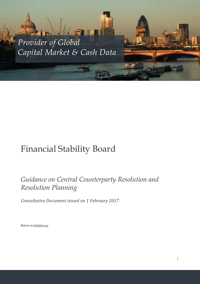*Provider of Global Capital Market & Cash Data*

**PORTS** 

## Financial Stability Board

## *Guidance on Central Counterparty Resolution and Resolution Planning*

*Consultative Document issued on 1 February 2017*

*Return to [fsb@fsb.org](mailto:fsb@fsb.org)*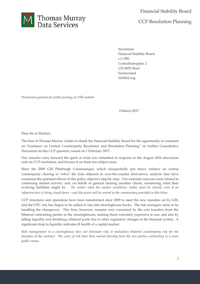

Secretariat Financial Stability Board c/o BIS Centralbahnplatz 2 CH-4052 Basel Switzerland fsb@fsb.org

*Permission granted for public posting on FSB website*

9 March 2017

Dear Sir or Madam,

The firm of Thomas Murray wishes to thank the Financial Stability Board for the opportunity to comment on "Guidance on Central Counterparty Resolution and Resolution Planning," its further Consultative Document on this CCP question, issued on 1 February 2017.

Our remarks carry forward the spirit of what was submitted in response to the August 2016 discussion note on CCP resolution, and focuses it on these ten subject areas.

Since the 2009 G20 Pittsburgh Communique, which unexpectedly put heavy reliance on central counterparty clearing to "solve" the risks inherent in over-the-counter derivatives, analysts here have examined the potential effects of this policy objective step-by-step. Our essential concerns were related to continuing market activity; and, on behalf of general clearing member clients, monitoring what their evolving liabilities might be. *No matter what the market conditions, trades must be cleared, even if an* infrastructure is being closed down - and this point will be central to the commentary provided in this letter.

CCP structures and operations have been transformed since 2009 to meet the new mandate set by G20, and the OTC mix has begun to be added in size into clearinghouse books. The risk managers seem to be handling the changeover. This firm, however, remains very concerned by the cost transfers from the bilateral contracting parties to the clearinghouses, making them extremely expensive to use; and also by falling liquidity and shrinking collateral pools due to other regulatory changes in the financial system. A significant drop in liquidity indicates ill health of a capital market.

*Risk management in a clearinghouse does not eliminate risk; it mutualises bilateral counterparty risk for the* duration of the contract. The costs of risk have been moved laterally from the two parties contracting to a more *public venue.*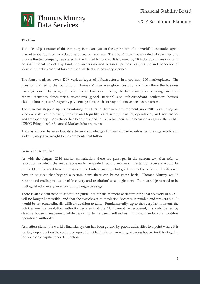

#### **The firm**

The sole subject matter of this company is the analysis of the operations of the world's post-trade capital market infrastructures and related asset custody services. Thomas Murray was founded 24 years ago as a private limited company registered in the United Kingdom. It is owned by 90 individual investors; with no institutional ties of any kind, the ownership and business purpose assures the independence of viewpoint that is essential for credible analytical and advisory services.

The firm's analyses cover 430+ various types of infrastructures in more than 100 marketplaces. The question that led to the founding of Thomas Murray was global custody, and from there the business coverage spread by geography and line of business. Today, the firm's analytical coverage includes central securities depositories, custodians (global, national, and sub-custodian), settlement houses, clearing houses, transfer agents, payment systems, cash correspondents, as well as registrars.

The firm has stepped up its monitoring of CCPs in their new environment since 2012, evaluating six kinds of risk: counterparty, treasury and liquidity, asset safety, financial, operational, and governance and transparency. Assistance has been provided to CCPs for their self-assessments against the CPMI-IOSCO Principles for Financial Market Infrastructures.

Thomas Murray believes that its extensive knowledge of financial market infrastructures, generally and globally, may give weight to the comments that follow.

#### **General observations**

As with the August 2016 market consultation, there are passages in the current text that refer to resolution in which the reader appears to be guided back to recovery. Certainly, recovery would be preferable to the need to wind down a market infrastructure – but guidance by the public authorities will have to be clear that beyond a certain point there can be no going back. Thomas Murray would recommend ending the usage of "recovery and resolution" as a single term. The two subjects need to be distinguished at every level, including language usage.

There is an evident need to set out the guidelines for the moment of determining that recovery of a CCP will no longer be possible, and that the switchover to resolution becomes inevitable and irreversible. It would be an extraordinarily difficult decision to take. Fundamentally, up to that very last moment, the point where the resolution authority declares that the CCP cannot be recovered, it should be led by clearing house management while reporting to its usual authorities. It must maintain its front-line operational authority.

As matters stand, the world's financial system has been guided by public authorities to a point where it is terribly dependent on the continued operation of half a dozen very large clearing houses for this singular, indispensable capital markets function.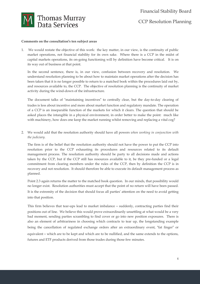

#### **Comments on the consultation**'**s ten subject areas**

1. We would restate the objective of this work: the key matter, in our view, is the continuity of public market operations, not financial stability for its own sake. Where there is a CCP in the midst of capital markets operations, its on-going functioning will by definition have become critical. It is on its way out of business at that point.

In the second sentence, there is, in our view, confusion between recovery and resolution. We understand resolution planning to be about how to maintain market operations after the decision has been taken that it is no longer possible to return to a matched book within the procedures laid out by, and resources available to, the CCP. The objective of resolution planning is the continuity of market activity during the wind-down of the infrastructure.

The document talks of "maintaining incentives" to centrally clear, but the day-to-day clearing of trades is less about incentive and more about market function and regulatory mandate. The operation of a CCP is an inseparable function of the markets for which it clears. The question that should be asked places the intangible in a physical environment, in order better to make the point: much like with machinery, how does one keep the market running whilst removing and replacing a vital cog?

2. We would add that the resolution authority should have all powers *when working in conjunction with the judiciary.*

The firm is of the belief that the resolution authority should not have the power to put the CCP into resolution prior to the CCP exhausting its procedures and resources related to its default management process. The resolution authority should be party to all decisions made and actions taken by the CCP, but if the CCP still has resources available to it, be they pre-funded or a legal commitment from clearing members under the rules of the CCP, then by definition the CCP is in recovery and not resolution. It should therefore be able to execute its default management process as planned.

Point 2.3 again returns the matter to the matched book question. In our minds, that possibility would no longer exist. Resolution authorities must accept that the point of no return will have been passed. It is the extremity of the decision that should focus all parties' attention on the need to avoid getting into that position.

This firm believes that tear-ups lead to market imbalance – suddenly, contracting parties find their positions out of line. We believe this would prove extraordinarily unsettling at what would be a very bad moment, sending parties scrambling to find cover or go into new position exposures. There is also an element of arbitrariness in choosing which contracts to tear up, the longstanding example being the cancellation of regulated exchange orders after an extraordinary event, "fat finger" or equivalent – which are to be kept and which are to be nullified, and the same extends to the options, futures and ETF products derived from those trades during those few minutes.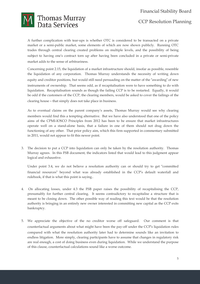# **M** Thomas Murray

A further complication with tear-ups is whether OTC is considered to be transacted on a private market or a semi-public market, some elements of which are now shown publicly. Running OTC trades through central clearing created problems on multiple levels, and the possibility of being subject to having one's contract torn up after having been concluded in a private or semi-private market adds to the sense of arbitrariness.

Concerning point 2.15, the liquidation of a market infrastructure should, insofar as possible, resemble the liquidation of any corporation. Thomas Murray understands the necessity of writing down equity and creditor positions, but would still need persuading on the matter of the "awarding" of new instruments of ownership. That seems odd, as if recapitalisation were to have something to do with liquidation. Recapitalisation sounds as though the failing CCP is to be restarted. Equally, it would be odd if the customers of the CCP, the clearing members, would be asked to cover the failings of the clearing house – that simply does not take place in business.

As to eventual claims on the parent company's assets, Thomas Murray would see why clearing members would find this a tempting alternative. But we have also understood that one of the policy aims of the CPMI-IOSCO Principles from 2012 has been to be ensure that market infrastructures operate well on a stand-alone basis, that a failure in one of them should not drag down the functioning of any other. That prior policy aim, which this firm supported in commentary submitted in 2011, would not appear to fit this newer point.

3. The decision to put a CCP into liquidation can only be taken by the resolution authority. Thomas Murray agrees. In this FSB document, the indicators listed that would lead to this judgment appear logical and exhaustive.

Under point 3.4, we do not believe a resolution authority can or should try to get "committed financial resources" beyond what was already established in the CCP's default waterfall and rulebook, if that is what this point is saying..

- 4. On allocating losses, under 4.3 the FSB paper raises the possibility of recapitalising the CCP, presumably for further central clearing. It seems contradictory to recapitalise a structure that is meant to be closing down. The other possible way of reading this text would be that the resolution authority is bringing in an entirely new owner interested in committing new capital as the CCP exits bankruptcy.
- of this clause, counterfactual calculations sound like a worse outcome. 5. We appreciate the objective of the no creditor worse off safeguard. Our comment is that counterfactual arguments about what might have been the pay-off under the CCP's liquidation rules compared with what the resolution authority later had to determine sounds like an invitation to endless litigation. More simply, clearing participants have to assume that changes in regulatory risk are real enough, a cost of doing business even during liquidation. While we understand the purpose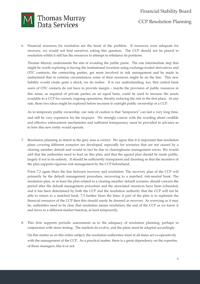### Financial Stability Board CCP Resolution Planning



6. Financial resources for resolution are the heart of the problem. If resources were adequate for recovery, we would not find ourselves asking this question. The CCP should not be placed in resolution whilst it still has the resources to attempt to rebalance its positions.

Thomas Murray understands the aim of avoiding the public purse. The one intermediate step that might be worth exploring is having the institutional investors using exchange-traded derivatives and OTC contracts, the contracting parties, get more involved in risk management and be made to understand that in extreme circumstances some of their resources might be on the line. This new liability would create quite a shock, we do realise. It is our understanding, too, that central bank users of OTC contacts do not have to provide margin – maybe the provision of public resources in this sense, as required of private parties on an equal basis, could be used to increase the assets available to a CCP for current, ongoing operations, thereby reducing the risk in the first place. At any rate, these two ideas might be explored before recourse to outright public ownership of a CCP.

As to temporary public ownership, our note of caution is that "temporary" can last a very long time, and still be very expensive for the taxpayer. We strongly concur with the wording about credible and effective enforcement mechanisms and sufficient transparency must be provided in advance as to how this new entity would operate.

7. Resolution planning as stated in the grey area is correct. We agree that it is important that resolution plans covering different scenarios are developed, especially for scenarios that are not caused by a clearing member default and would in fact be due to clearinghouse management errors. We would add that the authorities need to lead on this plan, and that the agreed plan should be made public, largely if not in its entirety. It should be sufficiently transparent and daunting so that the incentive of the plan supports rigorous risk management by the CCP beforehand.

Point 7.2 again blurs the line between recovery and resolution. The recovery plan of the CCP will primarily be the default management procedure, recovering to a matched, risk-neutral book. The resolution plan, or at least the plan related to a clearing member default scenario, should concern the period after the default management procedure and the associated resources have been exhausted, and it has been determined by both the CCP and the resolution authority that the CCP will not be able to return to a matched book. 7.3 further blurs the lines; if part of the plan is to replenish the financial resources of the CCP then this should surely be deemed as recovery. As worrying as it may be, authorities need to be clear that resolution means resolution, the end of the CCP as we know it and move to a different market function, at least temporarily.

8. This firm supports periodic assessments as to the adequacy of resolution planning, perhaps in conjunction with stress testing. The markets do evolve, and the plans must be adapted accordingly.

of those managers, like it or not. On this matter as on this entire subject, the resolution authorities must at all times act co-operatively with the management of the CCP. As a practical matter, there is a great dependency on the expertise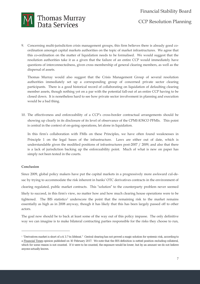

9. Concerning multi-jurisdiction crisis management groups, this firm believes there is already good coordination amongst capital markets authorities on the topic of market infrastructures. We agree that this co-ordination on the matter of liquidation needs to be formalised. We would suggest that the resolution authorities take it as a given that the failure of an entire CCP would immediately have questions of interconnectedness, given cross membership of general clearing members, as well as the dispersal of assets.

Thomas Murray would also suggest that the Crisis Management Group of several resolution authorities immediately set up a corresponding group of concerned private sector clearing participants. There is a good historical record of collaborating on liquidation of defaulting clearing member assets, though nothing yet on a par with the potential fall-out of an entire CCP having to be closed down. It is nonetheless hard to see how private sector involvement in planning and execution would be a bad thing.

10. The effectiveness and enforceability of a CCP's cross-border contractual arrangements should be showing up clearly in its disclosure of its level of observance of the CPMI-IOSCO PFMIs. This point is central in the context of on-going operations, let alone in liquidation.

In this firm's collaboration with FMIs on these Principles, we have often found weaknesses in Principle 1 on the legal bases of the infrastructure. Laws are either out of date, which is understandable given the modified positions of infrastructures post-2007 / 2009, and also that there is a lack of jurisdiction backing up the enforceability point. Much of what is new on paper has simply not been tested in the courts.

#### **Conclusion**

 $\overline{a}$ 

Since 2009, global policy makers have put the capital markets in a progressively more awkward cul-desac by trying to accommodate the risk inherent in banks' OTC derivatives contracts in the environment of clearing regulated, public market contracts. This "solution" to the counterparty problem never seemed likely to succeed, in this firm's view, no matter how and how much clearing house operations were to be tightened. The BIS statistics<sup>[1](#page-6-0)</sup> underscore the point that the remaining risk to the market remains essentially as high as in 2008 anyway, though it has likely that this has been largely passed off to other actors.

The goal now should be to back at least some of the way out of this policy impasse. The only definitive way we can imagine is to make bilateral contracting parties responsible for the risks they choose to run,

<span id="page-6-0"></span>which for some reason is not counted. If it were to be counted, the exposure would be lower, but by an amount we do not believe <sup>1</sup> "Derivatives market is short of a \$ 3.7 tn lifeboat." Central clearing has not proved a magic solution for systemic risk, according to a Financial Times opinion published on 10 February 2017. We note that the BIS definition is netted position excluding collateral, anyone actually knows.